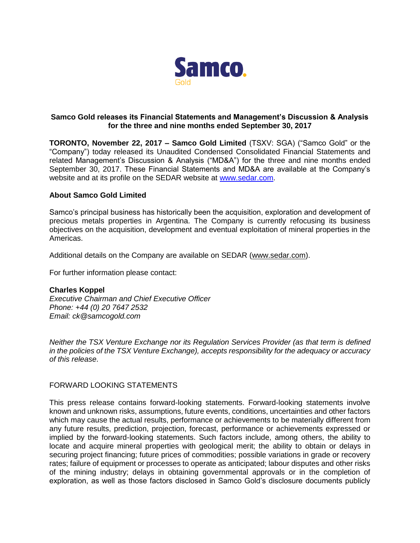

## **Samco Gold releases its Financial Statements and Management's Discussion & Analysis for the three and nine months ended September 30, 2017**

**TORONTO, November 22, 2017 – Samco Gold Limited** (TSXV: SGA) ("Samco Gold" or the "Company") today released its Unaudited Condensed Consolidated Financial Statements and related Management's Discussion & Analysis ("MD&A") for the three and nine months ended September 30, 2017. These Financial Statements and MD&A are available at the Company's website and at its profile on the SEDAR website at [www.sedar.com.](http://www.sedar.com/)

## **About Samco Gold Limited**

Samco's principal business has historically been the acquisition, exploration and development of precious metals properties in Argentina. The Company is currently refocusing its business objectives on the acquisition, development and eventual exploitation of mineral properties in the Americas.

Additional details on the Company are available on SEDAR [\(www.sedar.com\)](http://www.sedar.com/).

For further information please contact:

## **Charles Koppel**

*Executive Chairman and Chief Executive Officer Phone: +44 (0) 20 7647 2532 Email: ck@samcogold.com* 

*Neither the TSX Venture Exchange nor its Regulation Services Provider (as that term is defined in the policies of the TSX Venture Exchange), accepts responsibility for the adequacy or accuracy of this release*.

## FORWARD LOOKING STATEMENTS

This press release contains forward-looking statements. Forward-looking statements involve known and unknown risks, assumptions, future events, conditions, uncertainties and other factors which may cause the actual results, performance or achievements to be materially different from any future results, prediction, projection, forecast, performance or achievements expressed or implied by the forward-looking statements. Such factors include, among others, the ability to locate and acquire mineral properties with geological merit; the ability to obtain or delays in securing project financing; future prices of commodities; possible variations in grade or recovery rates; failure of equipment or processes to operate as anticipated; labour disputes and other risks of the mining industry; delays in obtaining governmental approvals or in the completion of exploration, as well as those factors disclosed in Samco Gold's disclosure documents publicly